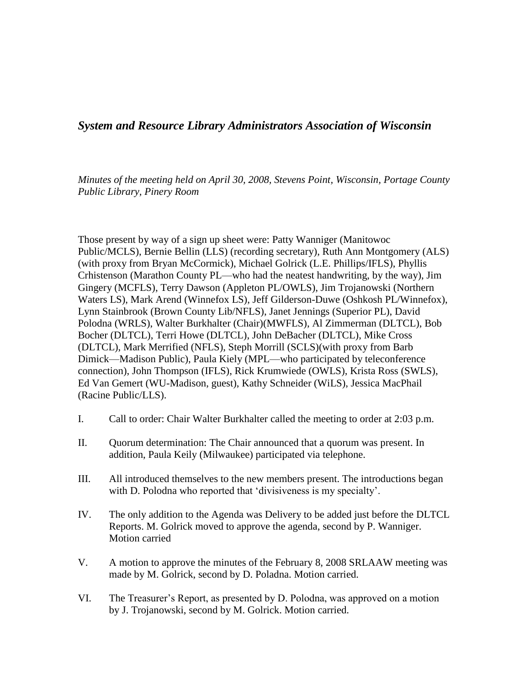## *System and Resource Library Administrators Association of Wisconsin*

*Minutes of the meeting held on April 30, 2008, Stevens Point, Wisconsin, Portage County Public Library, Pinery Room*

Those present by way of a sign up sheet were: Patty Wanniger (Manitowoc Public/MCLS), Bernie Bellin (LLS) (recording secretary), Ruth Ann Montgomery (ALS) (with proxy from Bryan McCormick), Michael Golrick (L.E. Phillips/IFLS), Phyllis Crhistenson (Marathon County PL—who had the neatest handwriting, by the way), Jim Gingery (MCFLS), Terry Dawson (Appleton PL/OWLS), Jim Trojanowski (Northern Waters LS), Mark Arend (Winnefox LS), Jeff Gilderson-Duwe (Oshkosh PL/Winnefox), Lynn Stainbrook (Brown County Lib/NFLS), Janet Jennings (Superior PL), David Polodna (WRLS), Walter Burkhalter (Chair)(MWFLS), Al Zimmerman (DLTCL), Bob Bocher (DLTCL), Terri Howe (DLTCL), John DeBacher (DLTCL), Mike Cross (DLTCL), Mark Merrified (NFLS), Steph Morrill (SCLS)(with proxy from Barb Dimick—Madison Public), Paula Kiely (MPL—who participated by teleconference connection), John Thompson (IFLS), Rick Krumwiede (OWLS), Krista Ross (SWLS), Ed Van Gemert (WU-Madison, guest), Kathy Schneider (WiLS), Jessica MacPhail (Racine Public/LLS).

- I. Call to order: Chair Walter Burkhalter called the meeting to order at 2:03 p.m.
- II. Quorum determination: The Chair announced that a quorum was present. In addition, Paula Keily (Milwaukee) participated via telephone.
- III. All introduced themselves to the new members present. The introductions began with D. Polodna who reported that 'divisiveness is my specialty'.
- IV. The only addition to the Agenda was Delivery to be added just before the DLTCL Reports. M. Golrick moved to approve the agenda, second by P. Wanniger. Motion carried
- V. A motion to approve the minutes of the February 8, 2008 SRLAAW meeting was made by M. Golrick, second by D. Poladna. Motion carried.
- VI. The Treasurer's Report, as presented by D. Polodna, was approved on a motion by J. Trojanowski, second by M. Golrick. Motion carried.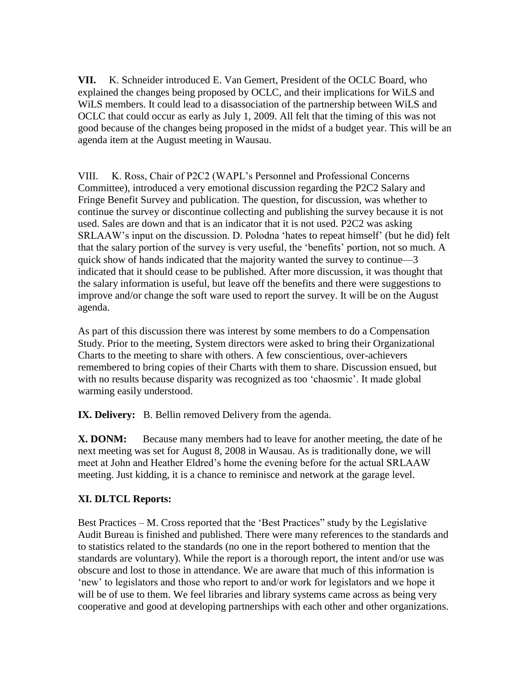**VII.** K. Schneider introduced E. Van Gemert, President of the OCLC Board, who explained the changes being proposed by OCLC, and their implications for WiLS and WiLS members. It could lead to a disassociation of the partnership between WiLS and OCLC that could occur as early as July 1, 2009. All felt that the timing of this was not good because of the changes being proposed in the midst of a budget year. This will be an agenda item at the August meeting in Wausau.

VIII. K. Ross, Chair of P2C2 (WAPL's Personnel and Professional Concerns Committee), introduced a very emotional discussion regarding the P2C2 Salary and Fringe Benefit Survey and publication. The question, for discussion, was whether to continue the survey or discontinue collecting and publishing the survey because it is not used. Sales are down and that is an indicator that it is not used. P2C2 was asking SRLAAW's input on the discussion. D. Polodna 'hates to repeat himself' (but he did) felt that the salary portion of the survey is very useful, the 'benefits' portion, not so much. A quick show of hands indicated that the majority wanted the survey to continue—3 indicated that it should cease to be published. After more discussion, it was thought that the salary information is useful, but leave off the benefits and there were suggestions to improve and/or change the soft ware used to report the survey. It will be on the August agenda.

As part of this discussion there was interest by some members to do a Compensation Study. Prior to the meeting, System directors were asked to bring their Organizational Charts to the meeting to share with others. A few conscientious, over-achievers remembered to bring copies of their Charts with them to share. Discussion ensued, but with no results because disparity was recognized as too 'chaosmic'. It made global warming easily understood.

**IX. Delivery:** B. Bellin removed Delivery from the agenda.

**X. DONM:** Because many members had to leave for another meeting, the date of he next meeting was set for August 8, 2008 in Wausau. As is traditionally done, we will meet at John and Heather Eldred's home the evening before for the actual SRLAAW meeting. Just kidding, it is a chance to reminisce and network at the garage level.

## **XI. DLTCL Reports:**

Best Practices – M. Cross reported that the 'Best Practices" study by the Legislative Audit Bureau is finished and published. There were many references to the standards and to statistics related to the standards (no one in the report bothered to mention that the standards are voluntary). While the report is a thorough report, the intent and/or use was obscure and lost to those in attendance. We are aware that much of this information is 'new' to legislators and those who report to and/or work for legislators and we hope it will be of use to them. We feel libraries and library systems came across as being very cooperative and good at developing partnerships with each other and other organizations.